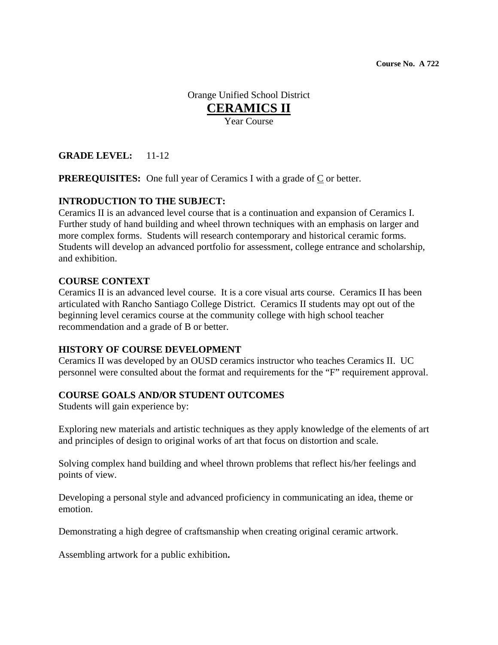**Course No. A 722** 

Orange Unified School District **CERAMICS II** Year Course

## **GRADE LEVEL:** 11-12

**PREREQUISITES:** One full year of Ceramics I with a grade of  $C$  or better.

## **INTRODUCTION TO THE SUBJECT:**

Ceramics II is an advanced level course that is a continuation and expansion of Ceramics I. Further study of hand building and wheel thrown techniques with an emphasis on larger and more complex forms. Students will research contemporary and historical ceramic forms. Students will develop an advanced portfolio for assessment, college entrance and scholarship, and exhibition.

#### **COURSE CONTEXT**

Ceramics II is an advanced level course. It is a core visual arts course.Ceramics II has been articulated with Rancho Santiago College District. Ceramics II students may opt out of the beginning level ceramics course at the community college with high school teacher recommendation and a grade of B or better.

#### **HISTORY OF COURSE DEVELOPMENT**

Ceramics II was developed by an OUSD ceramics instructor who teaches Ceramics II. UC personnel were consulted about the format and requirements for the "F" requirement approval.

#### **COURSE GOALS AND/OR STUDENT OUTCOMES**

Students will gain experience by:

Exploring new materials and artistic techniques as they apply knowledge of the elements of art and principles of design to original works of art that focus on distortion and scale.

Solving complex hand building and wheel thrown problems that reflect his/her feelings and points of view.

Developing a personal style and advanced proficiency in communicating an idea, theme or emotion.

Demonstrating a high degree of craftsmanship when creating original ceramic artwork.

Assembling artwork for a public exhibition**.**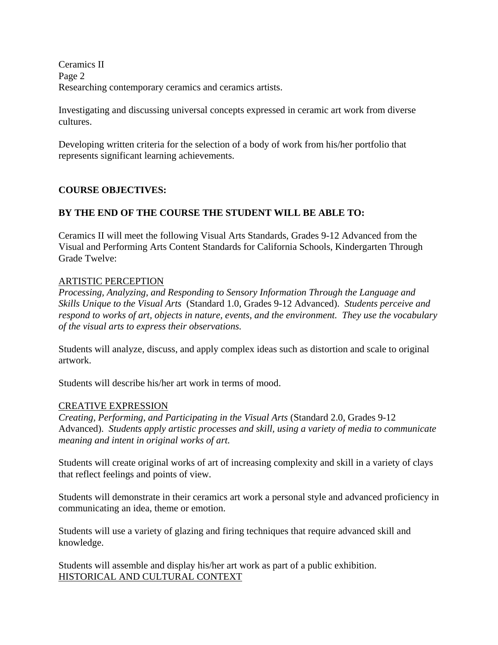Ceramics II Page 2 Researching contemporary ceramics and ceramics artists.

Investigating and discussing universal concepts expressed in ceramic art work from diverse cultures.

Developing written criteria for the selection of a body of work from his/her portfolio that represents significant learning achievements.

# **COURSE OBJECTIVES:**

# **BY THE END OF THE COURSE THE STUDENT WILL BE ABLE TO:**

Ceramics II will meet the following Visual Arts Standards, Grades 9-12 Advanced from the Visual and Performing Arts Content Standards for California Schools, Kindergarten Through Grade Twelve:

#### ARTISTIC PERCEPTION

*Processing, Analyzing, and Responding to Sensory Information Through the Language and Skills Unique to the Visual Arts* (Standard 1.0, Grades 9-12 Advanced). *Students perceive and respond to works of art, objects in nature, events, and the environment. They use the vocabulary of the visual arts to express their observations.*

Students will analyze, discuss, and apply complex ideas such as distortion and scale to original artwork.

Students will describe his/her art work in terms of mood.

## CREATIVE EXPRESSION

*Creating, Performing, and Participating in the Visual Arts* (Standard 2.0, Grades 9-12 Advanced). *Students apply artistic processes and skill, using a variety of media to communicate meaning and intent in original works of art.* 

Students will create original works of art of increasing complexity and skill in a variety of clays that reflect feelings and points of view.

Students will demonstrate in their ceramics art work a personal style and advanced proficiency in communicating an idea, theme or emotion.

Students will use a variety of glazing and firing techniques that require advanced skill and knowledge.

Students will assemble and display his/her art work as part of a public exhibition. HISTORICAL AND CULTURAL CONTEXT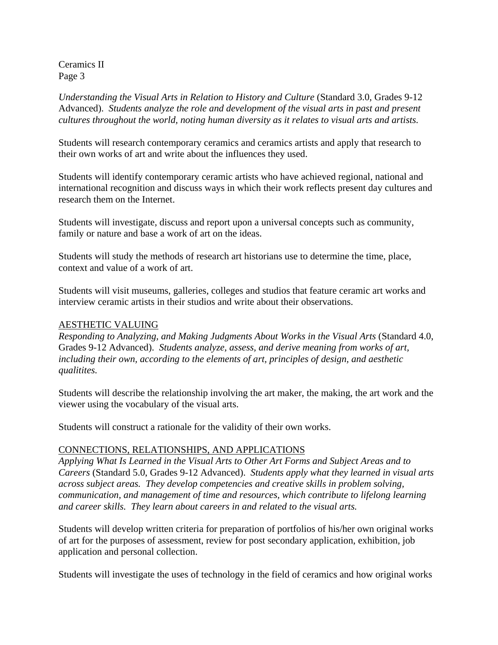*Understanding the Visual Arts in Relation to History and Culture* (Standard 3.0, Grades 9-12 Advanced). *Students analyze the role and development of the visual arts in past and present cultures throughout the world, noting human diversity as it relates to visual arts and artists.*

Students will research contemporary ceramics and ceramics artists and apply that research to their own works of art and write about the influences they used.

Students will identify contemporary ceramic artists who have achieved regional, national and international recognition and discuss ways in which their work reflects present day cultures and research them on the Internet.

Students will investigate, discuss and report upon a universal concepts such as community, family or nature and base a work of art on the ideas.

Students will study the methods of research art historians use to determine the time, place, context and value of a work of art.

Students will visit museums, galleries, colleges and studios that feature ceramic art works and interview ceramic artists in their studios and write about their observations.

#### AESTHETIC VALUING

*Responding to Analyzing, and Making Judgments About Works in the Visual Arts* (Standard 4.0, Grades 9-12 Advanced). *Students analyze, assess, and derive meaning from works of art, including their own, according to the elements of art, principles of design, and aesthetic qualitites.*

Students will describe the relationship involving the art maker, the making, the art work and the viewer using the vocabulary of the visual arts.

Students will construct a rationale for the validity of their own works.

## CONNECTIONS, RELATIONSHIPS, AND APPLICATIONS

*Applying What Is Learned in the Visual Arts to Other Art Forms and Subject Areas and to Careers* (Standard 5.0, Grades 9-12 Advanced). *Students apply what they learned in visual arts across subject areas. They develop competencies and creative skills in problem solving, communication, and management of time and resources, which contribute to lifelong learning and career skills. They learn about careers in and related to the visual arts.* 

Students will develop written criteria for preparation of portfolios of his/her own original works of art for the purposes of assessment, review for post secondary application, exhibition, job application and personal collection.

Students will investigate the uses of technology in the field of ceramics and how original works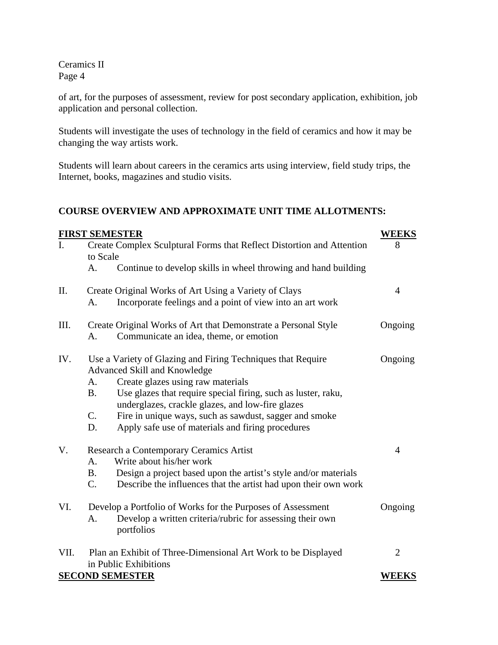of art, for the purposes of assessment, review for post secondary application, exhibition, job application and personal collection.

Students will investigate the uses of technology in the field of ceramics and how it may be changing the way artists work.

Students will learn about careers in the ceramics arts using interview, field study trips, the Internet, books, magazines and studio visits.

## **COURSE OVERVIEW AND APPROXIMATE UNIT TIME ALLOTMENTS:**

| <b>FIRST SEMESTER</b><br><b>WEEKS</b> |                                                                                                                                |                |  |
|---------------------------------------|--------------------------------------------------------------------------------------------------------------------------------|----------------|--|
|                                       | Create Complex Sculptural Forms that Reflect Distortion and Attention                                                          |                |  |
|                                       | to Scale                                                                                                                       |                |  |
|                                       | Continue to develop skills in wheel throwing and hand building<br>A.                                                           |                |  |
| II.                                   | Create Original Works of Art Using a Variety of Clays                                                                          | $\overline{4}$ |  |
|                                       | Incorporate feelings and a point of view into an art work<br>A.                                                                |                |  |
| Ш.                                    | Create Original Works of Art that Demonstrate a Personal Style                                                                 | Ongoing        |  |
|                                       | Communicate an idea, theme, or emotion<br>A.                                                                                   |                |  |
| IV.                                   | Use a Variety of Glazing and Firing Techniques that Require                                                                    | Ongoing        |  |
|                                       | Advanced Skill and Knowledge                                                                                                   |                |  |
|                                       | Create glazes using raw materials<br>A.                                                                                        |                |  |
|                                       | Use glazes that require special firing, such as luster, raku,<br><b>B.</b><br>underglazes, crackle glazes, and low-fire glazes |                |  |
|                                       | $C_{\cdot}$<br>Fire in unique ways, such as sawdust, sagger and smoke                                                          |                |  |
|                                       | Apply safe use of materials and firing procedures<br>D.                                                                        |                |  |
| V.                                    | Research a Contemporary Ceramics Artist                                                                                        | $\overline{4}$ |  |
|                                       | Write about his/her work<br>A.                                                                                                 |                |  |
|                                       | Design a project based upon the artist's style and/or materials<br><b>B.</b>                                                   |                |  |
|                                       | $C_{\cdot}$<br>Describe the influences that the artist had upon their own work                                                 |                |  |
| VI.                                   | Develop a Portfolio of Works for the Purposes of Assessment                                                                    |                |  |
|                                       | Develop a written criteria/rubric for assessing their own<br>A.                                                                |                |  |
|                                       | portfolios                                                                                                                     |                |  |
| VII.                                  | Plan an Exhibit of Three-Dimensional Art Work to be Displayed                                                                  |                |  |
|                                       | in Public Exhibitions                                                                                                          |                |  |
|                                       | <b>SECOND SEMESTER</b>                                                                                                         | <b>WEEKS</b>   |  |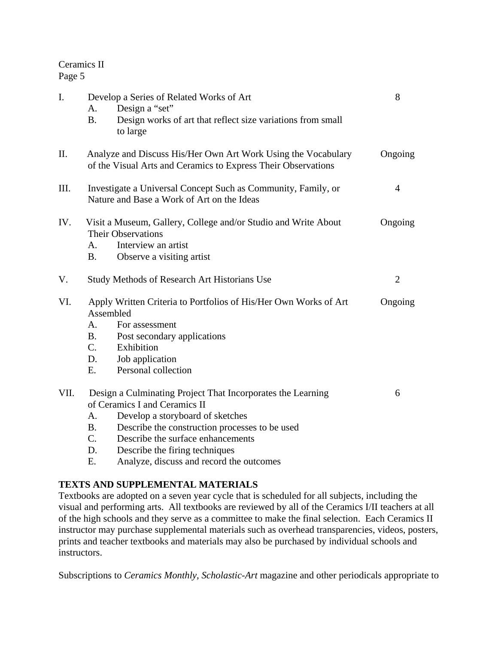| $\mathbf{I}$ . | A.<br><b>B.</b>                                                                                                                           | Develop a Series of Related Works of Art<br>Design a "set"<br>Design works of art that reflect size variations from small<br>to large                                                                                   | 8              |  |
|----------------|-------------------------------------------------------------------------------------------------------------------------------------------|-------------------------------------------------------------------------------------------------------------------------------------------------------------------------------------------------------------------------|----------------|--|
| Π.             | Analyze and Discuss His/Her Own Art Work Using the Vocabulary<br>Ongoing<br>of the Visual Arts and Ceramics to Express Their Observations |                                                                                                                                                                                                                         |                |  |
| III.           | Investigate a Universal Concept Such as Community, Family, or<br>$\overline{4}$<br>Nature and Base a Work of Art on the Ideas             |                                                                                                                                                                                                                         |                |  |
| IV.            | A.<br><b>B.</b>                                                                                                                           | Visit a Museum, Gallery, College and/or Studio and Write About<br><b>Their Observations</b><br>Interview an artist<br>Observe a visiting artist                                                                         | Ongoing        |  |
| V.             |                                                                                                                                           | <b>Study Methods of Research Art Historians Use</b>                                                                                                                                                                     | $\overline{2}$ |  |
| VI.            | Assembled<br>A.<br><b>B.</b><br>C.<br>D.<br>E.                                                                                            | Apply Written Criteria to Portfolios of His/Her Own Works of Art<br>For assessment<br>Post secondary applications<br>Exhibition<br>Job application<br>Personal collection                                               | Ongoing        |  |
| VII.           | А.<br>B.<br>$\mathcal{C}$ .                                                                                                               | Design a Culminating Project That Incorporates the Learning<br>of Ceramics I and Ceramics II<br>Develop a storyboard of sketches<br>Describe the construction processes to be used<br>Describe the surface enhancements | 6              |  |

- D. Describe the firing techniques
- E. Analyze, discuss and record the outcomes

# **TEXTS AND SUPPLEMENTAL MATERIALS**

Textbooks are adopted on a seven year cycle that is scheduled for all subjects, including the visual and performing arts. All textbooks are reviewed by all of the Ceramics I/II teachers at all of the high schools and they serve as a committee to make the final selection. Each Ceramics II instructor may purchase supplemental materials such as overhead transparencies, videos, posters, prints and teacher textbooks and materials may also be purchased by individual schools and instructors.

Subscriptions to *Ceramics Monthly, Scholastic-Art* magazine and other periodicals appropriate to